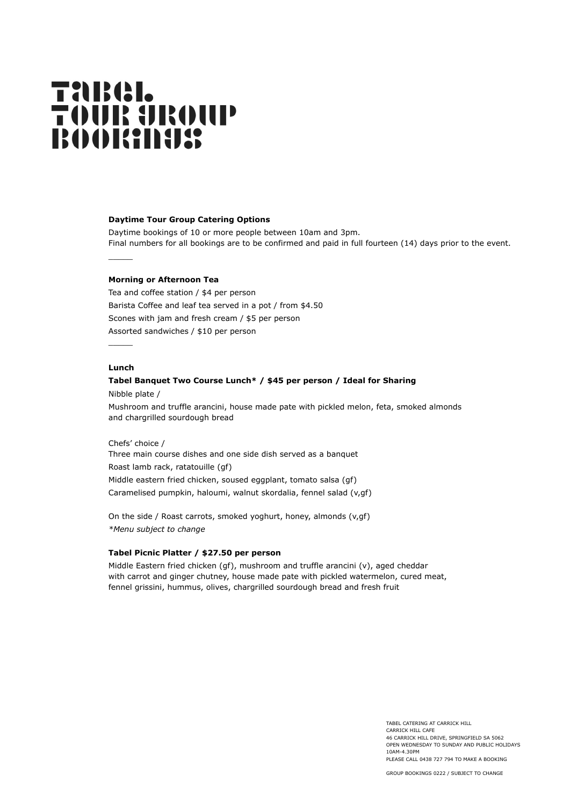# **TARGI. TOUR UROUP BOOKINGS**

#### **Daytime Tour Group Catering Options**

Daytime bookings of 10 or more people between 10am and 3pm. Final numbers for all bookings are to be confirmed and paid in full fourteen (14) days prior to the event.

## **Morning or Afternoon Tea**

Tea and coffee station / \$4 per person Barista Coffee and leaf tea served in a pot / from \$4.50 Scones with jam and fresh cream / \$5 per person Assorted sandwiches / \$10 per person

## **Lunch**

 $\overline{\phantom{a}}$ 

 $\overline{\phantom{a}}$ 

## **Tabel Banquet Two Course Lunch\* / \$45 per person / Ideal for Sharing**

Nibble plate /

Mushroom and truffle arancini, house made pate with pickled melon, feta, smoked almonds and chargrilled sourdough bread

## Chefs' choice /

Three main course dishes and one side dish served as a banquet Roast lamb rack, ratatouille (gf) Middle eastern fried chicken, soused eggplant, tomato salsa (gf) Caramelised pumpkin, haloumi, walnut skordalia, fennel salad (v,gf)

On the side / Roast carrots, smoked yoghurt, honey, almonds (v,gf) *\*Menu subject to change*

#### **Tabel Picnic Platter / \$27.50 per person**

Middle Eastern fried chicken (gf), mushroom and truffle arancini (v), aged cheddar with carrot and ginger chutney, house made pate with pickled watermelon, cured meat, fennel grissini, hummus, olives, chargrilled sourdough bread and fresh fruit

> TABEL CATERING AT CARRICK HILL CARRICK HILL CAFE 46 CARRICK HILL DRIVE, SPRINGFIELD SA 5062 OPEN WEDNESDAY TO SUNDAY AND PUBLIC HOLIDAYS 10AM-4.30PM PLEASE CALL 0438 727 794 TO MAKE A BOOKING

GROUP BOOKINGS 0222 / SUBJECT TO CHANGE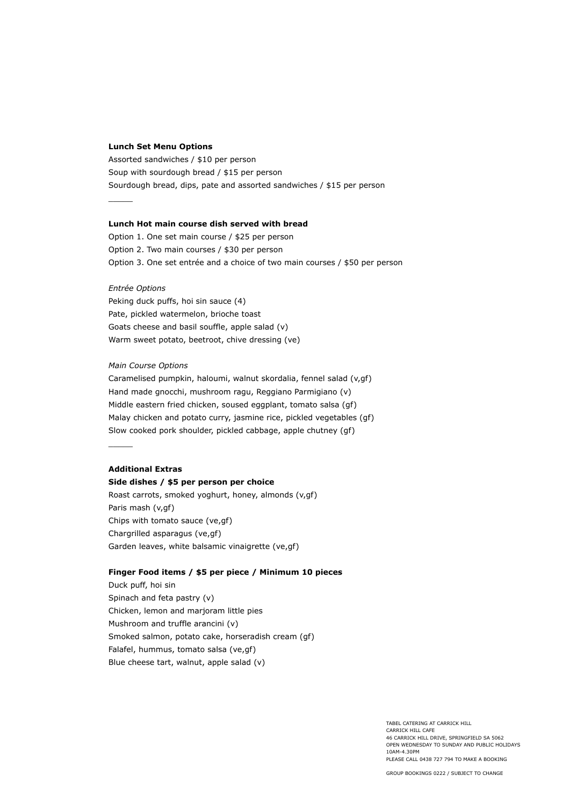#### **Lunch Set Menu Options**

Assorted sandwiches / \$10 per person Soup with sourdough bread / \$15 per person Sourdough bread, dips, pate and assorted sandwiches / \$15 per person

#### **Lunch Hot main course dish served with bread**

Option 1. One set main course / \$25 per person Option 2. Two main courses / \$30 per person Option 3. One set entrée and a choice of two main courses / \$50 per person

#### *Entrée Options*

Peking duck puffs, hoi sin sauce (4) Pate, pickled watermelon, brioche toast Goats cheese and basil souffle, apple salad (v) Warm sweet potato, beetroot, chive dressing (ve)

#### *Main Course Options*

Caramelised pumpkin, haloumi, walnut skordalia, fennel salad (v,gf) Hand made gnocchi, mushroom ragu, Reggiano Parmigiano (v) Middle eastern fried chicken, soused eggplant, tomato salsa (gf) Malay chicken and potato curry, jasmine rice, pickled vegetables (gf) Slow cooked pork shoulder, pickled cabbage, apple chutney (gf)

#### **Additional Extras**

 $\overline{\phantom{a}}$ 

## **Side dishes / \$5 per person per choice**

Roast carrots, smoked yoghurt, honey, almonds (v,gf) Paris mash (v,gf) Chips with tomato sauce (ve,gf) Chargrilled asparagus (ve,gf) Garden leaves, white balsamic vinaigrette (ve,gf)

#### **Finger Food items / \$5 per piece / Minimum 10 pieces**

Duck puff, hoi sin Spinach and feta pastry (v) Chicken, lemon and marjoram little pies Mushroom and truffle arancini (v) Smoked salmon, potato cake, horseradish cream (gf) Falafel, hummus, tomato salsa (ve,gf) Blue cheese tart, walnut, apple salad (v)

> TABEL CATERING AT CARRICK HILL CARRICK HILL CAFE 46 CARRICK HILL DRIVE, SPRINGFIELD SA 5062 OPEN WEDNESDAY TO SUNDAY AND PUBLIC HOLIDAYS 10AM-4.30PM PLEASE CALL 0438 727 794 TO MAKE A BOOKING

GROUP BOOKINGS 0222 / SUBJECT TO CHANGE